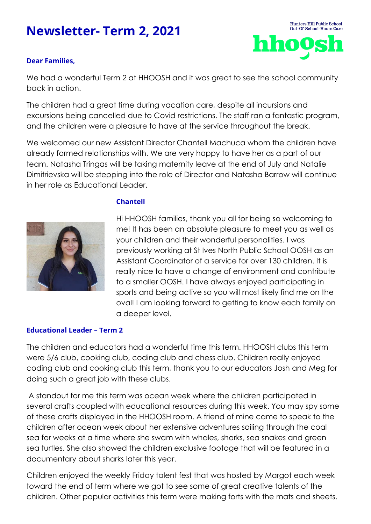# **Newsletter- Term 2, 2021**

# **Dear Families,**

We had a wonderful Term 2 at HHOOSH and it was great to see the school community back in action.

The children had a great time during vacation care, despite all incursions and excursions being cancelled due to Covid restrictions. The staff ran a fantastic program, and the children were a pleasure to have at the service throughout the break.

We welcomed our new Assistant Director Chantell Machuca whom the children have already formed relationships with. We are very happy to have her as a part of our team. Natasha Tringas will be taking maternity leave at the end of July and Natalie Dimitrievska will be stepping into the role of Director and Natasha Barrow will continue in her role as Educational Leader.



## **Chantell**

Hi HHOOSH families, thank you all for being so welcoming to me! It has been an absolute pleasure to meet you as well as your children and their wonderful personalities. I was previously working at St Ives North Public School OOSH as an Assistant Coordinator of a service for over 130 children. It is really nice to have a change of environment and contribute to a smaller OOSH. I have always enjoyed participating in sports and being active so you will most likely find me on the oval! I am looking forward to getting to know each family on a deeper level.

Hunters Hill Public School Out-Of-School-Hours Care

hho

# **Educational Leader – Term 2**

The children and educators had a wonderful time this term. HHOOSH clubs this term were 5/6 club, cooking club, coding club and chess club. Children really enjoyed coding club and cooking club this term, thank you to our educators Josh and Meg for doing such a great job with these clubs.

A standout for me this term was ocean week where the children participated in several crafts coupled with educational resources during this week. You may spy some of these crafts displayed in the HHOOSH room. A friend of mine came to speak to the children after ocean week about her extensive adventures sailing through the coal sea for weeks at a time where she swam with whales, sharks, sea snakes and green sea turtles. She also showed the children exclusive footage that will be featured in a documentary about sharks later this year.

Children enjoyed the weekly Friday talent fest that was hosted by Margot each week toward the end of term where we got to see some of great creative talents of the children. Other popular activities this term were making forts with the mats and sheets,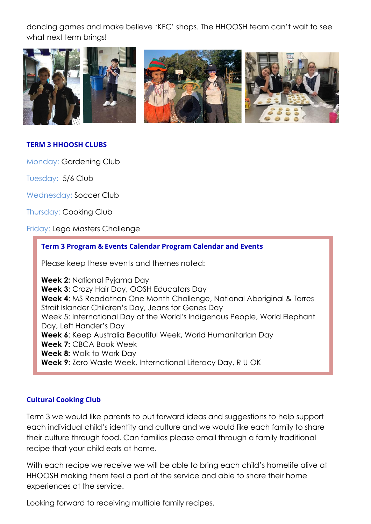dancing games and make believe 'KFC' shops. The HHOOSH team can't wait to see what next term brings!



# **TERM 3 HHOOSH CLUBS**

Monday: Gardening Club

Tuesday: 5/6 Club

Wednesday: Soccer Club

Thursday: Cooking Club

Friday: Lego Masters Challenge

### **Term 3 Program & Events Calendar Program Calendar and Events**

Please keep these events and themes noted:

**Week 2:** National Pyjama Day **Week 3**: Crazy Hair Day, OOSH Educators Day **Week 4**: MS Readathon One Month Challenge, National Aboriginal & Torres Strait Islander Children's Day, Jeans for Genes Day Week 5: International Day of the World's Indigenous People, World Elephant Day, Left Hander's Day **Week 6**: Keep Australia Beautiful Week, World Humanitarian Day **Week 7:** CBCA Book Week **Week 8:** Walk to Work Day **Week 9**: Zero Waste Week, International Literacy Day, R U OK

### **Cultural Cooking Club**

Term 3 we would like parents to put forward ideas and suggestions to help support each individual child's identity and culture and we would like each family to share their culture through food. Can families please email through a family traditional recipe that your child eats at home.

With each recipe we receive we will be able to bring each child's homelife alive at HHOOSH making them feel a part of the service and able to share their home experiences at the service.

Looking forward to receiving multiple family recipes.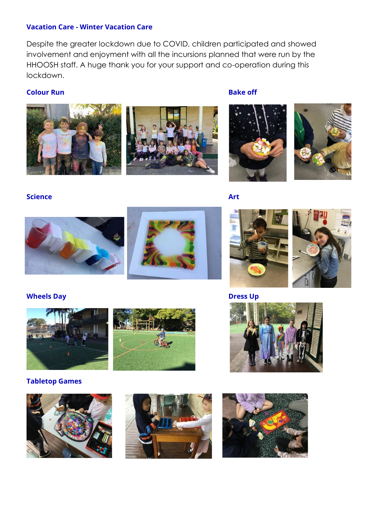## **Vacation Care - Winter Vacation Care**

Despite the greater lockdown due to COVID, children participated and showed involvement and enjoyment with all the incursions planned that were run by the HHOOSH staff. A huge thank you for your support and co-operation during this lockdown.

## **Colour Run Bake off Bake off**





**Science** Art









**Wheels Day Dress Up**





## **Tabletop Games**